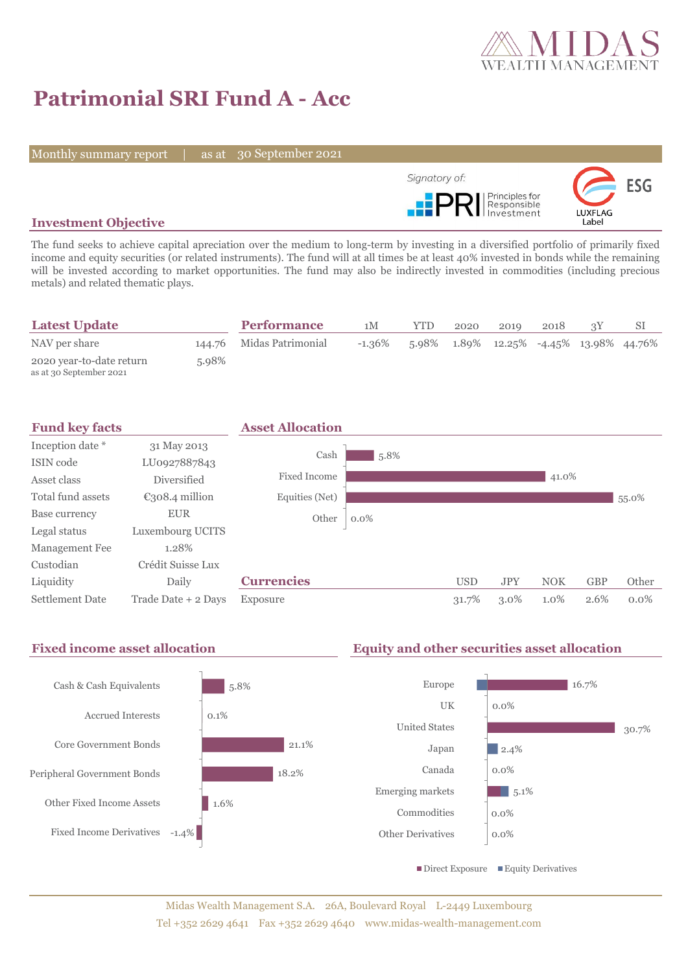

# **Patrimonial SRI Fund A - Acc**

Monthly summary report | as at 30 September 2021



## **Investment Objective**

The fund seeks to achieve capital apreciation over the medium to long-term by investing in a diversified portfolio of primarily fixed income and equity securities (or related instruments). The fund will at all times be at least 40% invested in bonds while the remaining will be invested according to market opportunities. The fund may also be indirectly invested in commodities (including precious metals) and related thematic plays.

| <b>Latest Update</b>                                |       | <b>Performance</b>       | 1M        | <b>YTD</b> | 2020 | 2019                                                      | 2018 |  |
|-----------------------------------------------------|-------|--------------------------|-----------|------------|------|-----------------------------------------------------------|------|--|
| NAV per share                                       |       | 144.76 Midas Patrimonial | $-1.36\%$ |            |      | $5.98\%$ $1.89\%$ $12.25\%$ $-4.45\%$ $13.98\%$ $44.76\%$ |      |  |
| 2020 year-to-date return<br>as at 30 September 2021 | 5.98% |                          |           |            |      |                                                           |      |  |



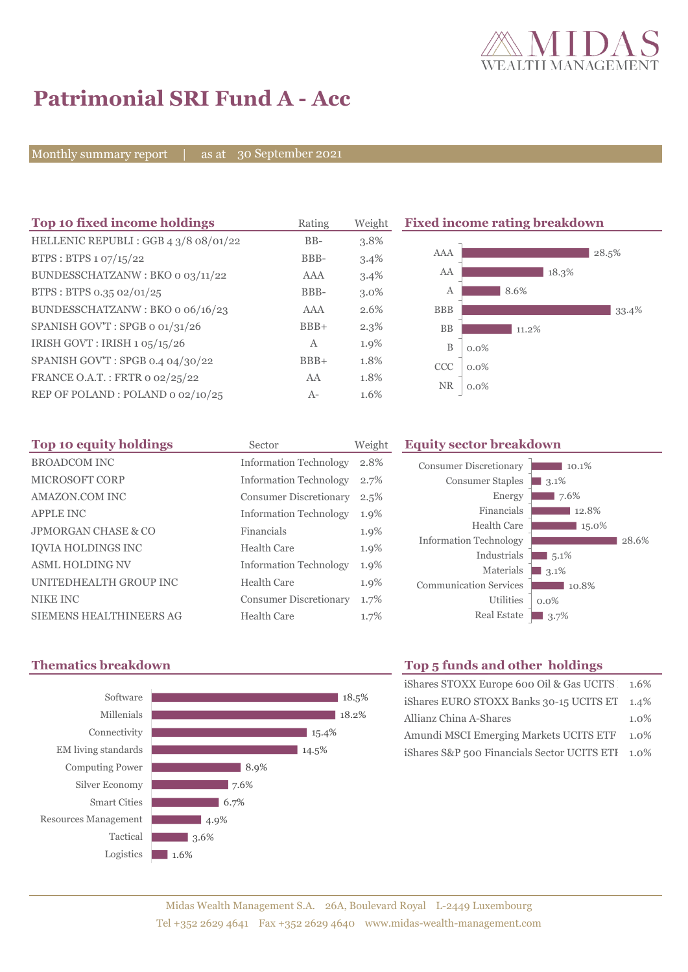

# **Patrimonial SRI Fund A - Acc**

Monthly summary report | as at 30 September 2021

| Top 10 fixed income holdings          | Rating       | Weight  | <b>Fixed income rating breakdown</b> |         |  |
|---------------------------------------|--------------|---------|--------------------------------------|---------|--|
| HELLENIC REPUBLI : GGB 4 3/8 08/01/22 | $BB-$        | 3.8%    |                                      |         |  |
| BTPS: BTPS 1 07/15/22                 | BBB-         | 3.4%    | AAA                                  | 28.5%   |  |
| BUNDESSCHATZANW: BKO o 03/11/22       | AAA          | 3.4%    | AA                                   | 18.3%   |  |
| BTPS: BTPS 0.35 02/01/25              | BBB-         | 3.0%    | А                                    | 8.6%    |  |
| BUNDESSCHATZANW: BKO o 06/16/23       | AAA          | 2.6%    | <b>BBB</b>                           | 33.4%   |  |
| SPANISH GOV'T: SPGB o 01/31/26        | $BBB+$       | $2.3\%$ | <b>BB</b>                            | 11.2%   |  |
| IRISH GOVT : IRISH $1.05/15/26$       | $\mathbf{A}$ | 1.9%    | $\, {\bf B}$                         | $0.0\%$ |  |
| SPANISH GOV'T: SPGB 0.4 04/30/22      | $BBB+$       | 1.8%    | <b>CCC</b>                           | $0.0\%$ |  |
| FRANCE O.A.T.: FRTR 0 02/25/22        | AA           | 1.8%    | <b>NR</b>                            |         |  |
| REP OF POLAND: POLAND 0 02/10/25      | $A-$         | 1.6%    |                                      | $0.0\%$ |  |

| Top 10 equity holdings         | Sector                        | Weight | Eо |
|--------------------------------|-------------------------------|--------|----|
| <b>BROADCOM INC</b>            | <b>Information Technology</b> | 2.8%   |    |
| <b>MICROSOFT CORP</b>          | <b>Information Technology</b> | 2.7%   |    |
| AMAZON.COM INC                 | <b>Consumer Discretionary</b> | 2.5%   |    |
| <b>APPLE INC</b>               | <b>Information Technology</b> | 1.9%   |    |
| <b>JPMORGAN CHASE &amp; CO</b> | Financials                    | 1.9%   |    |
| <b>IOVIA HOLDINGS INC</b>      | <b>Health Care</b>            | 1.9%   |    |
| <b>ASML HOLDING NV</b>         | <b>Information Technology</b> | 1.9%   |    |
| UNITEDHEALTH GROUP INC         | <b>Health Care</b>            | 1.9%   |    |
| <b>NIKE INC</b>                | <b>Consumer Discretionary</b> | 1.7%   |    |
| <b>SIEMENS HEALTHINEERS AG</b> | <b>Health Care</b>            | 1.7%   |    |

### **Top 10 equity holdings** Sector Weight **Equity sector breakdown**





## **Thematics breakdown Top 5 funds and other holdings**

| iShares STOXX Europe 600 Oil & Gas UCITS 1.6%    |         |  |
|--------------------------------------------------|---------|--|
| iShares EURO STOXX Banks 30-15 UCITS ET 1.4%     |         |  |
| Allianz China A-Shares                           | $1.0\%$ |  |
| Amundi MSCI Emerging Markets UCITS ETF           |         |  |
| iShares S&P 500 Financials Sector UCITS ETI 1.0% |         |  |